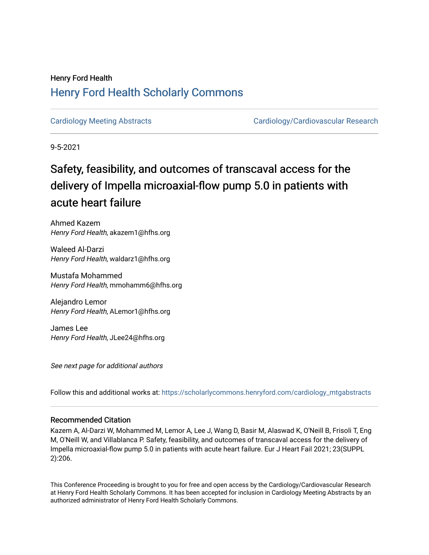## Henry Ford Health [Henry Ford Health Scholarly Commons](https://scholarlycommons.henryford.com/)

[Cardiology Meeting Abstracts](https://scholarlycommons.henryford.com/cardiology_mtgabstracts) [Cardiology/Cardiovascular Research](https://scholarlycommons.henryford.com/cardiology) 

9-5-2021

# Safety, feasibility, and outcomes of transcaval access for the delivery of Impella microaxial-flow pump 5.0 in patients with acute heart failure

Ahmed Kazem Henry Ford Health, akazem1@hfhs.org

Waleed Al-Darzi Henry Ford Health, waldarz1@hfhs.org

Mustafa Mohammed Henry Ford Health, mmohamm6@hfhs.org

Alejandro Lemor Henry Ford Health, ALemor1@hfhs.org

James Lee Henry Ford Health, JLee24@hfhs.org

See next page for additional authors

Follow this and additional works at: [https://scholarlycommons.henryford.com/cardiology\\_mtgabstracts](https://scholarlycommons.henryford.com/cardiology_mtgabstracts?utm_source=scholarlycommons.henryford.com%2Fcardiology_mtgabstracts%2F309&utm_medium=PDF&utm_campaign=PDFCoverPages) 

## Recommended Citation

Kazem A, Al-Darzi W, Mohammed M, Lemor A, Lee J, Wang D, Basir M, Alaswad K, O'Neill B, Frisoli T, Eng M, O'Neill W, and Villablanca P. Safety, feasibility, and outcomes of transcaval access for the delivery of Impella microaxial-flow pump 5.0 in patients with acute heart failure. Eur J Heart Fail 2021; 23(SUPPL 2):206.

This Conference Proceeding is brought to you for free and open access by the Cardiology/Cardiovascular Research at Henry Ford Health Scholarly Commons. It has been accepted for inclusion in Cardiology Meeting Abstracts by an authorized administrator of Henry Ford Health Scholarly Commons.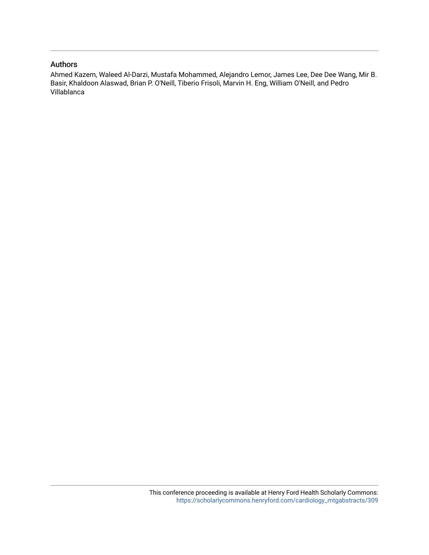### Authors

Ahmed Kazem, Waleed Al-Darzi, Mustafa Mohammed, Alejandro Lemor, James Lee, Dee Dee Wang, Mir B. Basir, Khaldoon Alaswad, Brian P. O'Neill, Tiberio Frisoli, Marvin H. Eng, William O'Neill, and Pedro Villablanca